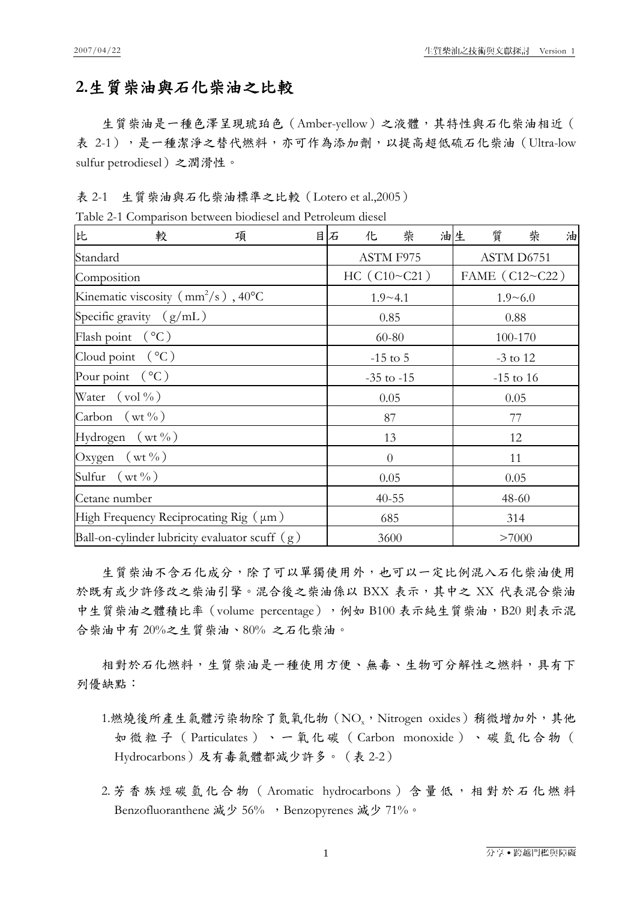## **2.**生質柴油與石化柴油之比較

生質柴油是一種色澤呈現琥珀色(Amber-yellow)之液體,其特性與石化柴油相近( 表 2-1),是一種潔淨之替代燃料,亦可作為添加劑,以提高超低硫石化柴油(Ultra-low sulfur petrodiesel)之潤滑性。

表 2-1 生質柴油與石化柴油標準之比較(Lotero et al.,2005)

|  | Table 2-1 Comparison between biodiesel and Petroleum diesel |  |  |  |  |  |
|--|-------------------------------------------------------------|--|--|--|--|--|
|--|-------------------------------------------------------------|--|--|--|--|--|

| 比                                                          | 較                          | 項    |                | 目石 | 化              | 柴              |  | 油生 | 質 | 柴    | 油 |
|------------------------------------------------------------|----------------------------|------|----------------|----|----------------|----------------|--|----|---|------|---|
| Standard                                                   |                            |      | ASTM F975      |    |                | ASTM D6751     |  |    |   |      |   |
| Composition                                                |                            |      | HC (C10~C21)   |    |                | FAME (C12~C22) |  |    |   |      |   |
| Kinematic viscosity $\left( \frac{mm^2}{s} \right)$ , 40°C |                            |      | $1.9 - 4.1$    |    |                | $1.9 - 6.0$    |  |    |   |      |   |
| Specific gravity $(g/mL)$                                  |                            |      | 0.85           |    |                | 0.88           |  |    |   |      |   |
| Flash point $({}^{\circ}C)$                                |                            |      | 60-80          |    |                | 100-170        |  |    |   |      |   |
| Cloud point $({}^{\circ}C)$                                |                            |      | $-15$ to 5     |    |                | $-3$ to 12     |  |    |   |      |   |
|                                                            | Pour point $({}^{\circ}C)$ |      | $-35$ to $-15$ |    |                | $-15$ to 16    |  |    |   |      |   |
|                                                            | Water $(\text{vol}\%)$     |      |                |    | 0.05           |                |  |    |   | 0.05 |   |
|                                                            | Carbon $(wt \%)$           |      |                |    | 87             |                |  |    |   | 77   |   |
|                                                            | Hydrogen $(wt\%)$          |      |                |    | 13             |                |  |    |   | 12   |   |
|                                                            | Oxygen $(wt\%)$            |      |                |    | $\overline{0}$ |                |  |    |   | 11   |   |
| Sulfur $(wt\% )$                                           |                            | 0.05 |                |    | 0.05           |                |  |    |   |      |   |
| Cetane number                                              |                            |      | $40 - 55$      |    |                | 48-60          |  |    |   |      |   |
| High Frequency Reciprocating $\text{Rig}(\mu m)$           |                            |      | 685            |    |                | 314            |  |    |   |      |   |
| Ball-on-cylinder lubricity evaluator scuff $(g)$           |                            |      | 3600           |    |                | >7000          |  |    |   |      |   |

生質柴油不含石化成分,除了可以單獨使用外,也可以一定比例混入石化柴油使用 於既有或少許修改之柴油引擎。混合後之柴油係以 BXX 表示, 其中之 XX 代表混合柴油 中生質柴油之體積比率 (volume percentage),例如 B100 表示純生質柴油,B20 則表示混 合柴油中有 20%之生質柴油、80% 之石化柴油。

相對於石化燃料,生質柴油是一種使用方便、無毒、生物可分解性之燃料,具有下 列優缺點:

- 1.燃燒後所產生氣體污染物除了氮氧化物 (NOz, Nitrogen oxides) 稍微增加外, 其他 如微粒子( Particulates )、一氧化碳( Carbon monoxide )、碳氫化合物( Hydrocarbons)及有毒氣體都減少許多。(表 2-2)
- 2. 芳香族烴碳氫化合物 (Aromatic hydrocarbons)含量低,相對於石化燃料 Benzofluoranthene 減少 56% , Benzopyrenes 減少 71%。